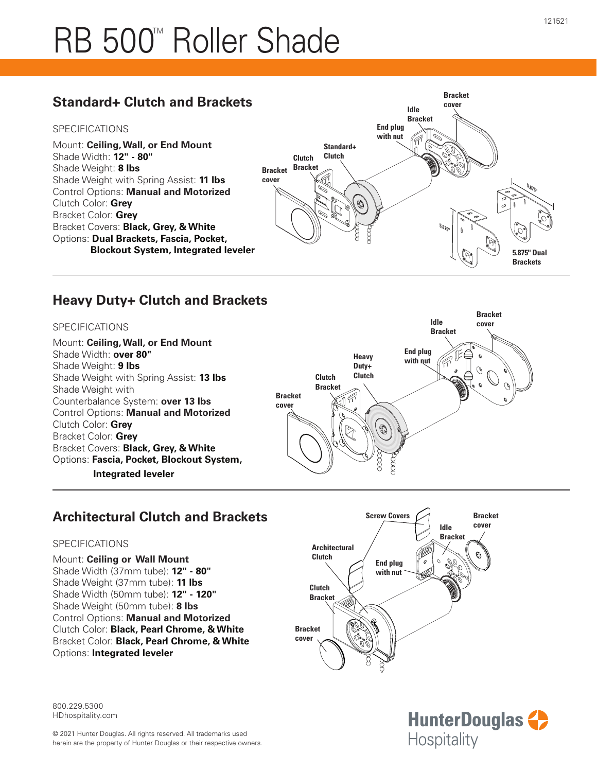## RB 500<sup>™</sup> Roller Shade

## **Standard+ Clutch and Brackets**

#### SPECIFICATIONS

Mount: **Ceiling, Wall, or End Mount** Shade Width: **12" - 80"** Shade Weight: **8 lbs** Shade Weight with Spring Assist: **11 lbs** Control Options: **Manual and Motorized** Clutch Color: **Grey** Bracket Color: **Grey** Bracket Covers: **Black, Grey, & White** Options: **Dual Brackets, Fascia, Pocket, Blockout System, Integrated leveler**



## **Heavy Duty+ Clutch and Brackets**

#### SPECIFICATIONS

Mount: **Ceiling, Wall, or End Mount** Shade Width: **over 80"** Shade Weight: **9 lbs** Shade Weight with Spring Assist: **13 lbs** Shade Weight with Counterbalance System: **over 13 lbs** Control Options: **Manual and Motorized** Clutch Color: **Grey** Bracket Color: **Grey** Bracket Covers: **Black, Grey, & White** Options: **Fascia, Pocket, Blockout System, Integrated leveler**



## **Architectural Clutch and Brackets**

#### SPECIFICATIONS

Mount: **Ceiling or Wall Mount** Shade Width (37mm tube): **12" - 80"** Shade Weight (37mm tube): **11 lbs** Shade Width (50mm tube): **12" - 120"** Shade Weight (50mm tube): **8 lbs** Control Options: **Manual and Motorized** Clutch Color: **Black, Pearl Chrome, & White** Bracket Color: **Black, Pearl Chrome, & White** Options: **Integrated leveler**





800.229.5300 HDhospitality.com